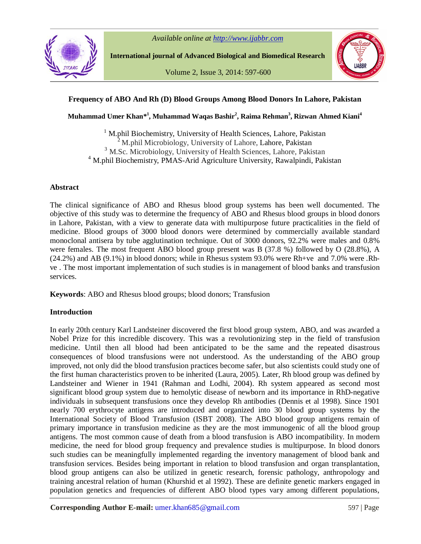



**International journal of Advanced Biological and Biomedical Research**

Volume 2, Issue 3, 2014: 597-600



## **Frequency of ABO And Rh (D) Blood Groups Among Blood Donors In Lahore, Pakistan**

**Muhammad Umer Khan\* 1 , Muhammad Waqas Bashir<sup>2</sup> , Raima Rehman<sup>3</sup> , Rizwan Ahmed Kiani<sup>4</sup>**

<sup>1</sup> M.phil Biochemistry, University of Health Sciences, Lahore, Pakistan  $2^2$ M.phil Microbiology, University of Lahore, Lahore, Pakistan <sup>3</sup> M.Sc. Microbiology, University of Health Sciences, Lahore, Pakistan <sup>4</sup> M.phil Biochemistry, PMAS-Arid Agriculture University, Rawalpindi, Pakistan

#### **Abstract**

The clinical significance of ABO and Rhesus blood group systems has been well documented. The objective of this study was to determine the frequency of ABO and Rhesus blood groups in blood donors in Lahore, Pakistan, with a view to generate data with multipurpose future practicalities in the field of medicine. Blood groups of 3000 blood donors were determined by commercially available standard monoclonal antisera by tube agglutination technique. Out of 3000 donors, 92.2% were males and 0.8% were females. The most frequent ABO blood group present was B (37.8 %) followed by O (28.8%), A (24.2%) and AB (9.1%) in blood donors; while in Rhesus system 93.0% were Rh+ve and 7.0% were .Rhve . The most important implementation of such studies is in management of blood banks and transfusion services.

**Keywords**: ABO and Rhesus blood groups; blood donors; Transfusion

## **Introduction**

In early 20th century Karl Landsteiner discovered the first blood group system, ABO, and was awarded a Nobel Prize for this incredible discovery. This was a revolutionizing step in the field of transfusion medicine. Until then all blood had been anticipated to be the same and the repeated disastrous consequences of blood transfusions were not understood. As the understanding of the ABO group improved, not only did the blood transfusion practices become safer, but also scientists could study one of the first human characteristics proven to be inherited (Laura, 2005). Later, Rh blood group was defined by Landsteiner and Wiener in 1941 (Rahman and Lodhi, 2004). Rh system appeared as second most significant blood group system due to hemolytic disease of newborn and its importance in RhD-negative individuals in subsequent transfusions once they develop Rh antibodies (Dennis et al 1998). Since 1901 nearly 700 erythrocyte antigens are introduced and organized into 30 blood group systems by the International Society of Blood Transfusion (ISBT 2008). The ABO blood group antigens remain of primary importance in transfusion medicine as they are the most immunogenic of all the blood group antigens. The most common cause of death from a blood transfusion is ABO incompatibility. In modern medicine, the need for blood group frequency and prevalence studies is multipurpose. In blood donors such studies can be meaningfully implemented regarding the inventory management of blood bank and transfusion services. Besides being important in relation to blood transfusion and organ transplantation, blood group antigens can also be utilized in genetic research, forensic pathology, anthropology and training ancestral relation of human (Khurshid et al 1992). These are definite genetic markers engaged in population genetics and frequencies of different ABO blood types vary among different populations,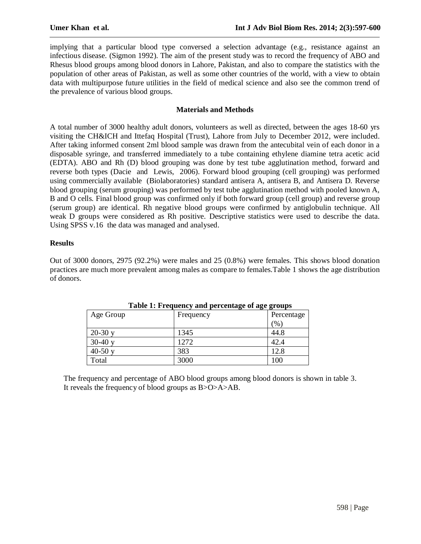implying that a particular blood type conversed a selection advantage (e.g., resistance against an infectious disease. (Sigmon 1992). The aim of the present study was to record the frequency of ABO and Rhesus blood groups among blood donors in Lahore, Pakistan, and also to compare the statistics with the population of other areas of Pakistan, as well as some other countries of the world, with a view to obtain data with multipurpose future utilities in the field of medical science and also see the common trend of the prevalence of various blood groups.

## **Materials and Methods**

A total number of 3000 healthy adult donors, volunteers as well as directed, between the ages 18-60 yrs visiting the CH&ICH and Ittefaq Hospital (Trust), Lahore from July to December 2012, were included. After taking informed consent 2ml blood sample was drawn from the antecubital vein of each donor in a disposable syringe, and transferred immediately to a tube containing ethylene diamine tetra acetic acid (EDTA). ABO and Rh (D) blood grouping was done by test tube agglutination method, forward and reverse both types (Dacie and Lewis, 2006). Forward blood grouping (cell grouping) was performed using commercially available (Biolaboratories) standard antisera A, antisera B, and Antisera D. Reverse blood grouping (serum grouping) was performed by test tube agglutination method with pooled known A, B and O cells. Final blood group was confirmed only if both forward group (cell group) and reverse group (serum group) are identical. Rh negative blood groups were confirmed by antiglobulin technique. All weak D groups were considered as Rh positive. Descriptive statistics were used to describe the data. Using SPSS v.16 the data was managed and analysed.

# **Results**

Out of 3000 donors, 2975 (92.2%) were males and 25 (0.8%) were females. This shows blood donation practices are much more prevalent among males as compare to females.Table 1 shows the age distribution of donors.

| Table 1. Prequency and percentage of age groups |           |            |  |  |  |  |
|-------------------------------------------------|-----------|------------|--|--|--|--|
| Age Group                                       | Frequency | Percentage |  |  |  |  |
|                                                 |           | $\gamma_0$ |  |  |  |  |
| $20-30y$                                        | 1345      | 44.8       |  |  |  |  |
| $30-40y$                                        | 1272      | 42.4       |  |  |  |  |
| $40-50y$                                        | 383       | 12.8       |  |  |  |  |
| Total                                           | 3000      | 100        |  |  |  |  |

**Table 1: Frequency and percentage of age groups**

The frequency and percentage of ABO blood groups among blood donors is shown in table 3. It reveals the frequency of blood groups as B>O>A>AB.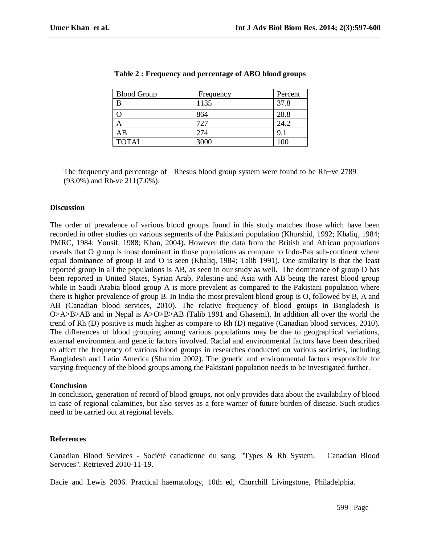| <b>Blood Group</b> | Frequency | Percent |
|--------------------|-----------|---------|
| В                  | 1135      | 37.8    |
|                    | 864       | 28.8    |
|                    | 727       | 24.2    |
| ΑB                 | 274       | 9.1     |
| <b>TOTAL</b>       | 3000      |         |

|  | Table 2 : Frequency and percentage of ABO blood groups |  |  |  |  |
|--|--------------------------------------------------------|--|--|--|--|
|--|--------------------------------------------------------|--|--|--|--|

The frequency and percentage of Rhesus blood group system were found to be Rh+ve 2789 (93.0%) and Rh-ve 211(7.0%).

#### **Discussion**

The order of prevalence of various blood groups found in this study matches those which have been recorded in other studies on various segments of the Pakistani population (Khurshid, 1992; Khaliq, 1984; PMRC, 1984; Yousif, 1988; Khan, 2004). However the data from the British and African populations reveals that O group is most dominant in those populations as compare to Indo-Pak sub-continent where equal dominance of group B and O is seen (Khaliq, 1984; Talib 1991). One similarity is that the least reported group in all the populations is AB, as seen in our study as well. The dominance of group O has been reported in United States, Syrian Arab, Palestine and Asia with AB being the rarest blood group while in Saudi Arabia blood group A is more prevalent as compared to the Pakistani population where there is higher prevalence of group B. In India the most prevalent blood group is O, followed by B, A and AB (Canadian blood services, 2010). The relative frequency of blood groups in Bangladesh is O>A>B>AB and in Nepal is A>O>B>AB (Talib 1991 and Ghasemi). In addition all over the world the trend of Rh (D) positive is much higher as compare to Rh (D) negative (Canadian blood services, 2010). The differences of blood grouping among various populations may be due to geographical variations, external environment and genetic factors involved. Racial and environmental factors have been described to affect the frequency of various blood groups in researches conducted on various societies, including Bangladesh and Latin America (Shamim 2002). The genetic and environmental factors responsible for varying frequency of the blood groups among the Pakistani population needs to be investigated further.

## **Conclusion**

In conclusion, generation of record of blood groups, not only provides data about the availability of blood in case of regional calamities, but also serves as a fore warner of future burden of disease. Such studies need to be carried out at regional levels.

## **References**

Canadian Blood Services - Société canadienne du sang. "Types & Rh System, Canadian Blood Services". Retrieved 2010-11-19.

Dacie and Lewis 2006. Practical haematology, 10th ed, Churchill Livingstone, Philadelphia.